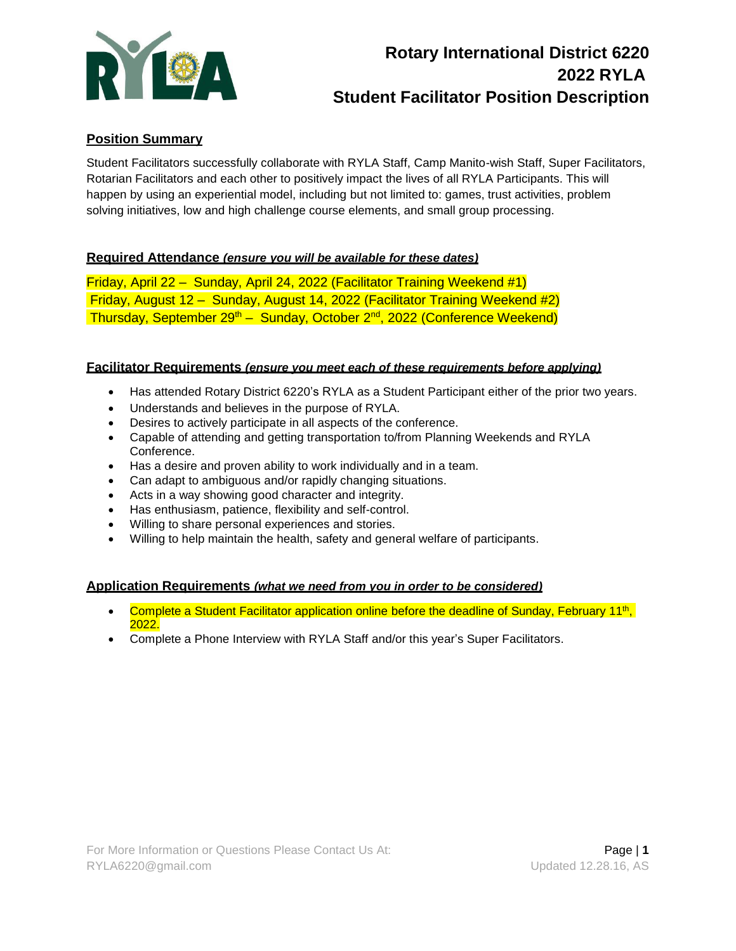

# **Rotary International District 6220 2022 RYLA Student Facilitator Position Description**

# **Position Summary**

Student Facilitators successfully collaborate with RYLA Staff, Camp Manito-wish Staff, Super Facilitators, Rotarian Facilitators and each other to positively impact the lives of all RYLA Participants. This will happen by using an experiential model, including but not limited to: games, trust activities, problem solving initiatives, low and high challenge course elements, and small group processing.

# **Required Attendance** *(ensure you will be available for these dates)*

Friday, April 22 – Sunday, April 24, 2022 (Facilitator Training Weekend #1) Friday, August 12 – Sunday, August 14, 2022 (Facilitator Training Weekend #2) Thursday, September 29<sup>th</sup> – Sunday, October 2<sup>nd</sup>, 2022 (Conference Weekend)

#### **Facilitator Requirements** *(ensure you meet each of these requirements before applying)*

- Has attended Rotary District 6220's RYLA as a Student Participant either of the prior two years.
- Understands and believes in the purpose of RYLA.
- Desires to actively participate in all aspects of the conference.
- Capable of attending and getting transportation to/from Planning Weekends and RYLA Conference.
- Has a desire and proven ability to work individually and in a team.
- Can adapt to ambiguous and/or rapidly changing situations.
- Acts in a way showing good character and integrity.
- Has enthusiasm, patience, flexibility and self-control.
- Willing to share personal experiences and stories.
- Willing to help maintain the health, safety and general welfare of participants.

#### **Application Requirements** *(what we need from you in order to be considered)*

- Complete a Student Facilitator application online before the deadline of Sunday, February 11<sup>th</sup>, 2022.
- Complete a Phone Interview with RYLA Staff and/or this year's Super Facilitators.